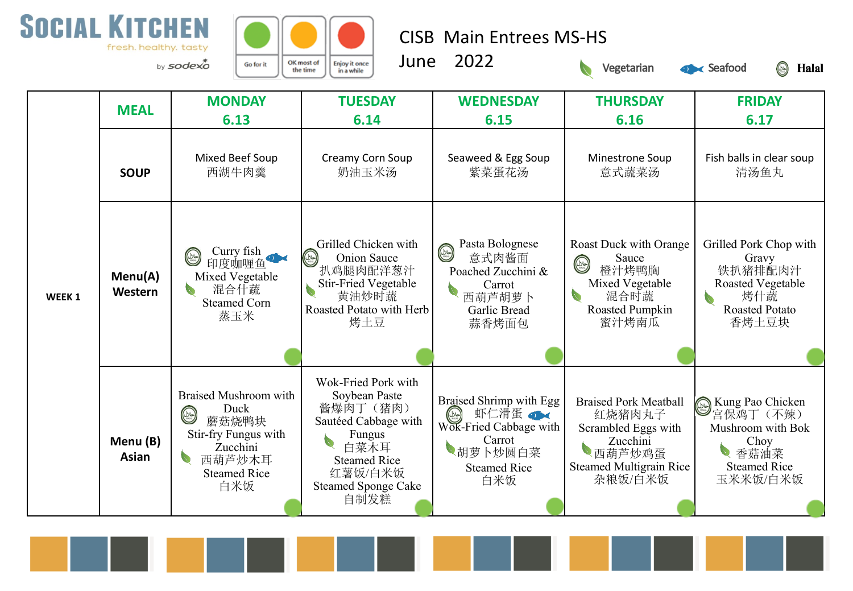



CISB Main Entrees MS-HS

June 2022



Seafood

**S** Halal

| WEEK <sub>1</sub> | <b>MEAL</b>        | <b>MONDAY</b><br>6.13                                                                                                                | <b>TUESDAY</b><br>6.14                                                                                                                                             | <b>WEDNESDAY</b><br>6.15                                                                                                    | <b>THURSDAY</b><br>6.16                                                                                                          | <b>FRIDAY</b><br>6.17                                                                                                        |
|-------------------|--------------------|--------------------------------------------------------------------------------------------------------------------------------------|--------------------------------------------------------------------------------------------------------------------------------------------------------------------|-----------------------------------------------------------------------------------------------------------------------------|----------------------------------------------------------------------------------------------------------------------------------|------------------------------------------------------------------------------------------------------------------------------|
|                   | <b>SOUP</b>        | Mixed Beef Soup<br>西湖牛肉羹                                                                                                             | Creamy Corn Soup<br>奶油玉米汤                                                                                                                                          | Seaweed & Egg Soup<br>紫菜蛋花汤                                                                                                 | Minestrone Soup<br>意式蔬菜汤                                                                                                         | Fish balls in clear soup<br>清汤鱼丸                                                                                             |
|                   | Menu(A)<br>Western | Curry fish<br>$\circledcirc$<br>印度咖喱鱼<br>Mixed Vegetable<br>混合什蔬<br>$\bullet$<br><b>Steamed Corn</b><br>蒸玉米                          | Grilled Chicken with<br>$(\infty)$<br>Onion Sauce<br>扒鸡腿肉配洋葱汁<br><b>Stir-Fried Vegetable</b><br>黄油炒时蔬<br>Roasted Potato with Herb<br>烤土豆                           | Pasta Bolognese<br>۳<br>意式肉酱面<br>Poached Zucchini &<br>Carrot<br>西葫芦胡萝卜<br>Garlic Bread<br>蒜香烤面包                            | <b>Roast Duck with Orange</b><br>Sauce<br>$\circledcirc$<br>橙汁烤鸭胸<br>Mixed Vegetable<br>混合时蔬<br>Roasted Pumpkin<br>蜜汁烤南瓜         | Grilled Pork Chop with<br>Gravy<br>铁扒猪排配肉汁<br><b>Roasted Vegetable</b><br>烤什蔬<br>$\bullet$<br><b>Roasted Potato</b><br>香烤土豆块 |
|                   | Menu (B)<br>Asian  | Braised Mushroom with<br>Duck<br>$\circledcirc$<br>蘑菇烧鸭块<br>Stir-fry Fungus with<br>Zucchini<br>西葫芦炒木耳<br><b>Steamed Rice</b><br>白米饭 | Wok-Fried Pork with<br>Soybean Paste<br>酱爆肉丁(猪肉)<br>Sautéed Cabbage with<br>Fungus<br>白菜木耳<br><b>Steamed Rice</b><br>红薯饭/白米饭<br><b>Steamed Sponge Cake</b><br>自制发糕 | Braised Shrimp with Egg<br>虾仁滑蛋●<br>$(\infty)$<br>Wok-Fried Cabbage with<br>Carrot<br>胡萝卜炒圆白菜<br><b>Steamed Rice</b><br>白米饭 | <b>Braised Pork Meatball</b><br>红烧猪肉丸子<br>Scrambled Eggs with<br>Zucchini<br>西葫芦炒鸡蛋<br><b>Steamed Multigrain Rice</b><br>杂粮饭/白米饭 | <b>A</b> Kung Pao Chicken<br>宫保鸡丁 (不辣)<br>Mushroom with Bok<br>Choy<br>香菇油菜<br><b>Steamed Rice</b><br>玉米米饭/白米饭               |